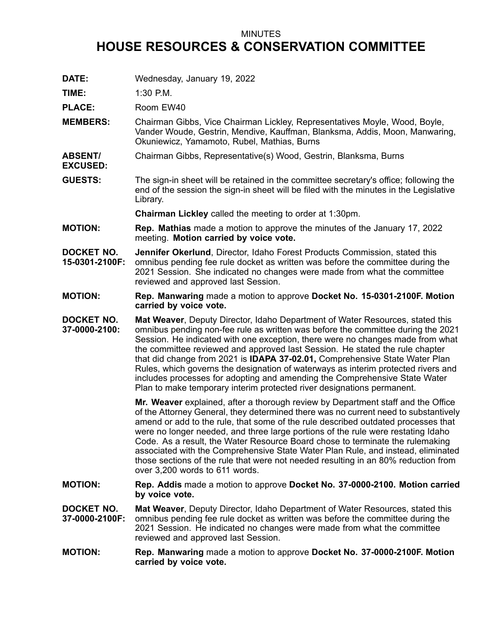## MINUTES

## **HOUSE RESOURCES & CONSERVATION COMMITTEE**

**DATE:** Wednesday, January 19, 2022

**TIME:** 1:30 P.M.

**EXCUSED:**

PLACE: Room EW40

- **MEMBERS:** Chairman Gibbs, Vice Chairman Lickley, Representatives Moyle, Wood, Boyle, Vander Woude, Gestrin, Mendive, Kauffman, Blanksma, Addis, Moon, Manwaring, Okuniewicz, Yamamoto, Rubel, Mathias, Burns
- **ABSENT/** Chairman Gibbs, Representative(s) Wood, Gestrin, Blanksma, Burns
- **GUESTS:** The sign-in sheet will be retained in the committee secretary's office; following the end of the session the sign-in sheet will be filed with the minutes in the Legislative Library.

**Chairman Lickley** called the meeting to order at 1:30pm.

- **MOTION: Rep. Mathias** made <sup>a</sup> motion to approve the minutes of the January 17, 2022 meeting. **Motion carried by voice vote.**
- **DOCKET NO. 15-0301-2100F: Jennifer Okerlund**, Director, Idaho Forest Products Commission, stated this omnibus pending fee rule docket as written was before the committee during the 2021 Session. She indicated no changes were made from what the committee reviewed and approved last Session.
- **MOTION: Rep. Manwaring** made <sup>a</sup> motion to approve **Docket No. 15-0301-2100F. Motion carried by voice vote.**
- **DOCKET NO. 37-0000-2100: Mat Weaver**, Deputy Director, Idaho Department of Water Resources, stated this omnibus pending non-fee rule as written was before the committee during the 2021 Session. He indicated with one exception, there were no changes made from what the committee reviewed and approved last Session. He stated the rule chapter that did change from 2021 is **IDAPA 37-02.01,** Comprehensive State Water Plan Rules, which governs the designation of waterways as interim protected rivers and includes processes for adopting and amending the Comprehensive State Water Plan to make temporary interim protected river designations permanent.

**Mr. Weaver** explained, after <sup>a</sup> thorough review by Department staff and the Office of the Attorney General, they determined there was no current need to substantively amend or add to the rule, that some of the rule described outdated processes that were no longer needed, and three large portions of the rule were restating Idaho Code. As <sup>a</sup> result, the Water Resource Board chose to terminate the rulemaking associated with the Comprehensive State Water Plan Rule, and instead, eliminated those sections of the rule that were not needed resulting in an 80% reduction from over 3,200 words to 611 words.

- **MOTION: Rep. Addis** made <sup>a</sup> motion to approve **Docket No. 37-0000-2100. Motion carried by voice vote.**
- **DOCKET NO. 37-0000-2100F: Mat Weaver**, Deputy Director, Idaho Department of Water Resources, stated this omnibus pending fee rule docket as written was before the committee during the 2021 Session. He indicated no changes were made from what the committee reviewed and approved last Session.
- **MOTION: Rep. Manwaring** made <sup>a</sup> motion to approve **Docket No. 37-0000-2100F. Motion carried by voice vote.**